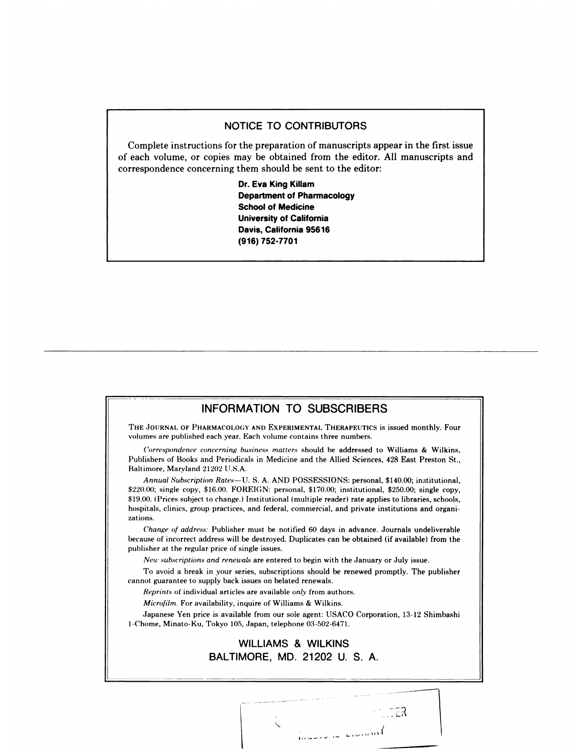## NOTICE TO CONTRIBUTORS

Complete instructions for the preparation of manuscripts appear in the first issue of each volume, or copies may be obtained from the editor. All manuscripts and correspondence concerning them should be sent to the editor:

> Dr. Eva King Killam **Department of Pharmacology** School of Medicine **University of California** Davis, California 95616 **(916) 752-7701**

## INFORMATION TO SUBSCRIBERS

THE JOURNAL OF PHARMACOLOGY AND EXPERIMENTAL THERAPEUTICS is issued monthly. Four volumes are published each year. Each volume contains three numbers.

*Correspondence concerning business matters* should he addressed to Williams & Wilkins,Publishers of Books and Periodicals in Medicine and the Allied Sciences, 428 East Preston St., Baltimore, Maryland 21202 U.S.A.

*Annual Subscription Rates-U.* S. A. AND POSSESSIONS: personal, \$140.00; institutional, \$220.()0; single copy, \$16.00. FOREIGN: personal, \$170.00; institutional, \$250.00; single copy, \$19.00. (Prices subject to change.) Institutional (multiple reader) rate applies to libraries, schools, hospitals, clinics, group practices, and federal, commercial, and private institutions and organi zations.

*Change* of address: Publisher must be notified 60 days in advance. Journals undeliverable because of incorrect address will be destroyed. Duplicates can be obtained (if available) from the publisher at the regular price of single issues.

*New subscriptions and renewals* are entered to begin with the January or July issue.

To avoid a break in your series, subscriptions should be renewed promptly. The publisher cannot guarantee to supply back issues on belated renewals.

*Reprints* of individual articles are available *only* from authors.

*Microfilm.* For availability, inquire of Williams & Wilkins.

**r**

Japanese Yen price is available from our sole agent: USACO Corporation, 13-12 Shimbashi 1-Chome, Minato-Ku, Tokyo 105, Japan, telephone 03-502-6471.

## WILLIAMS **&** WILKINS BALTIMORE, MD. 21202 U. S. A.

**I#{149}'** ' '

ිටි